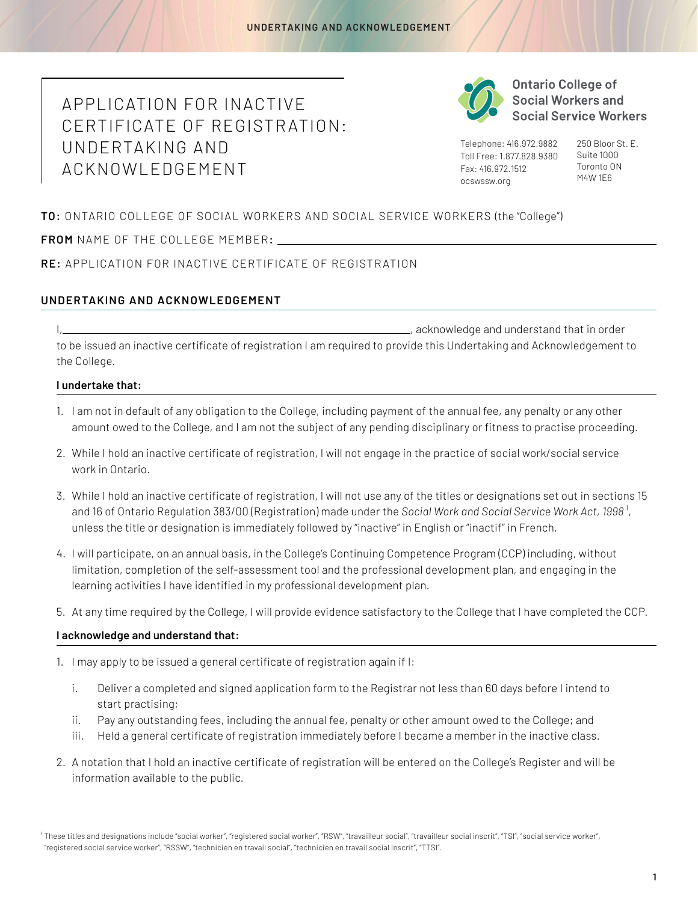## APPLICATION FOR INACTIVE CERTIFICATE OF REGISTR ATION: UNDERTAKING AND ACKNOWLEDGEMENT



**Ontario College of Social Workers and Social Service Workers** 

Telephone: 416.972.9882 Toll Free: 1.877.828.9380 Fax: 416.972.1512 [ocswssw.org](http://ocswssw.org)

250 Bloor St. E. Suite 1000 Toronto ON M4W 1E6

**TO:** ONTARIO COLLEGE OF SOCIAL WORKERS AND SOCIAL SERVICE WORKERS (the "College")

NAME OF THE COLLEGE MEMBER**: FROM** 

**RE:** APPLICATION FOR INACTIVE CERTIFICATE OF REGISTR ATION

## **UNDERTAKING AND ACKNOWLEDGEMENT**

I, acknowledge and understand that in order to be issued an inactive certificate of registration I am required to provide this Undertaking and Acknowledgement to the College.

## **I undertake that:**

- 1. I am not in default of any obligation to the College, including payment of the annual fee, any penalty or any other amount owed to the College, and I am not the subject of any pending disciplinary or fitness to practise proceeding.
- 2. While I hold an inactive certificate of registration, I will not engage in the practice of social work/social service work in Ontario.
- 3. While I hold an inactive certificate of registration, I will not use any of the titles or designations set out in sections 15 and 16 of Ontario Regulation 383/00 (Registration) made under the *Social Work and Social Service Work Act*, 1998<sup>1</sup>, unless the title or designation is immediately followed by "inactive" in English or "inactif" in French.
- 4. I will participate, on an annual basis, in the College's Continuing Competence Program (CCP) including, without limitation, completion of the self-assessment tool and the professional development plan, and engaging in the learning activities I have identified in my professional development plan.
- 5. At any time required by the College, I will provide evidence satisfactory to the College that I have completed the CCP.

## **I acknowledge and understand that:**

- 1. I may apply to be issued a general certificate of registration again if I:
	- i. Deliver a completed and signed application form to the Registrar not less than 60 days before I intend to start practising;
	- ii. Pay any outstanding fees, including the annual fee, penalty or other amount owed to the College; and
	- iii. Held a general certificate of registration immediately before I became a member in the inactive class.
- 2. A notation that I hold an inactive certificate of registration will be entered on the College's Register and will be information available to the public.

<sup>&</sup>lt;sup>1</sup> These titles and designations include "social worker", "registered social worker", "RSW", "travailleur social", "travailleur social inscrit", "TSI", "social service worker", "registered social service worker", "RSSW", "technicien en travail social", "technicien en travail social inscrit", "TTSI".